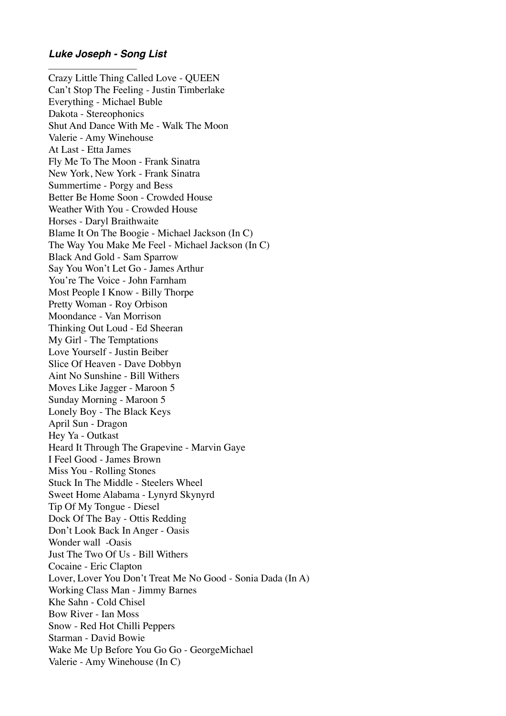## *Luke Joseph - Song List*

Crazy Little Thing Called Love - QUEEN Can't Stop The Feeling - Justin Timberlake Everything - Michael Buble Dakota - Stereophonics Shut And Dance With Me - Walk The Moon Valerie - Amy Winehouse At Last - Etta James Fly Me To The Moon - Frank Sinatra New York, New York - Frank Sinatra Summertime - Porgy and Bess Better Be Home Soon - Crowded House Weather With You - Crowded House Horses - Daryl Braithwaite Blame It On The Boogie - Michael Jackson (In C) The Way You Make Me Feel - Michael Jackson (In C) Black And Gold - Sam Sparrow Say You Won't Let Go - James Arthur You're The Voice - John Farnham Most People I Know - Billy Thorpe Pretty Woman - Roy Orbison Moondance - Van Morrison Thinking Out Loud - Ed Sheeran My Girl - The Temptations Love Yourself - Justin Beiber Slice Of Heaven - Dave Dobbyn Aint No Sunshine - Bill Withers Moves Like Jagger - Maroon 5 Sunday Morning - Maroon 5 Lonely Boy - The Black Keys April Sun - Dragon Hey Ya - Outkast Heard It Through The Grapevine - Marvin Gaye I Feel Good - James Brown Miss You - Rolling Stones Stuck In The Middle - Steelers Wheel Sweet Home Alabama - Lynyrd Skynyrd Tip Of My Tongue - Diesel Dock Of The Bay - Ottis Redding Don't Look Back In Anger - Oasis Wonder wall -Oasis Just The Two Of Us - Bill Withers Cocaine - Eric Clapton Lover, Lover You Don't Treat Me No Good - Sonia Dada (In A) Working Class Man - Jimmy Barnes Khe Sahn - Cold Chisel Bow River - Ian Moss Snow - Red Hot Chilli Peppers Starman - David Bowie Wake Me Up Before You Go Go - GeorgeMichael Valerie - Amy Winehouse (In C)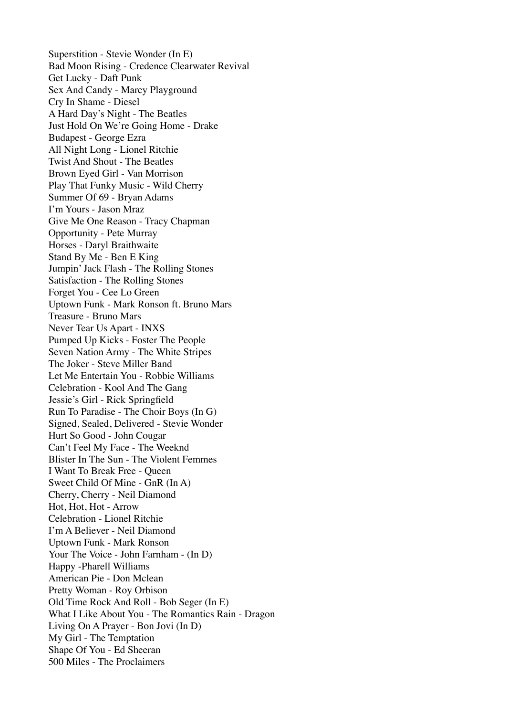Superstition - Stevie Wonder (In E) Bad Moon Rising - Credence Clearwater Revival Get Lucky - Daft Punk Sex And Candy - Marcy Playground Cry In Shame - Diesel A Hard Day's Night - The Beatles Just Hold On We're Going Home - Drake Budapest - George Ezra All Night Long - Lionel Ritchie Twist And Shout - The Beatles Brown Eyed Girl - Van Morrison Play That Funky Music - Wild Cherry Summer Of 69 - Bryan Adams I'm Yours - Jason Mraz Give Me One Reason - Tracy Chapman Opportunity - Pete Murray Horses - Daryl Braithwaite Stand By Me - Ben E King Jumpin' Jack Flash - The Rolling Stones Satisfaction - The Rolling Stones Forget You - Cee Lo Green Uptown Funk - Mark Ronson ft. Bruno Mars Treasure - Bruno Mars Never Tear Us Apart - INXS Pumped Up Kicks - Foster The People Seven Nation Army - The White Stripes The Joker - Steve Miller Band Let Me Entertain You - Robbie Williams Celebration - Kool And The Gang Jessie's Girl - Rick Springfield Run To Paradise - The Choir Boys (In G) Signed, Sealed, Delivered - Stevie Wonder Hurt So Good - John Cougar Can't Feel My Face - The Weeknd Blister In The Sun - The Violent Femmes I Want To Break Free - Queen Sweet Child Of Mine - GnR (In A) Cherry, Cherry - Neil Diamond Hot, Hot, Hot - Arrow Celebration - Lionel Ritchie I'm A Believer - Neil Diamond Uptown Funk - Mark Ronson Your The Voice - John Farnham - (In D) Happy -Pharell Williams American Pie - Don Mclean Pretty Woman - Roy Orbison Old Time Rock And Roll - Bob Seger (In E) What I Like About You - The Romantics Rain - Dragon Living On A Prayer - Bon Jovi (In D) My Girl - The Temptation Shape Of You - Ed Sheeran 500 Miles - The Proclaimers